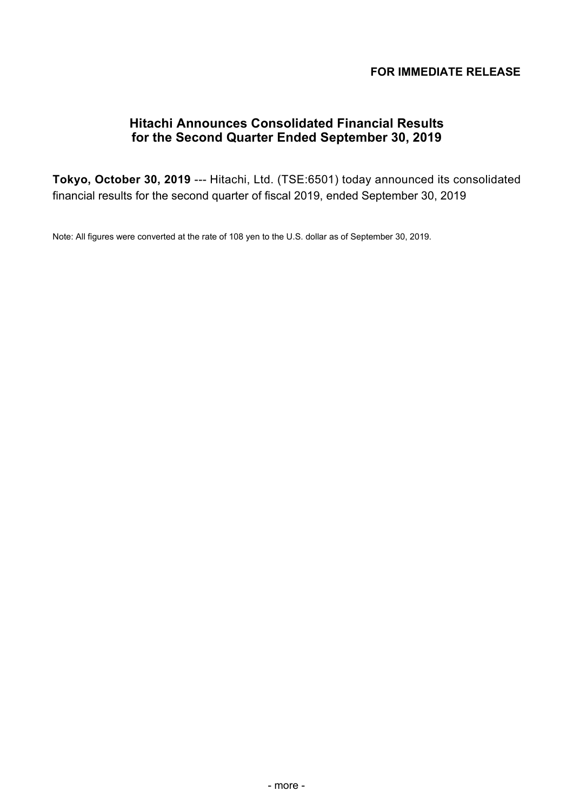## **FOR IMMEDIATE RELEASE**

# **Hitachi Announces Consolidated Financial Results for the Second Quarter Ended September 30, 2019**

**Tokyo, October 30, 2019** --- Hitachi, Ltd. (TSE:6501) today announced its consolidated financial results for the second quarter of fiscal 2019, ended September 30, 2019

Note: All figures were converted at the rate of 108 yen to the U.S. dollar as of September 30, 2019.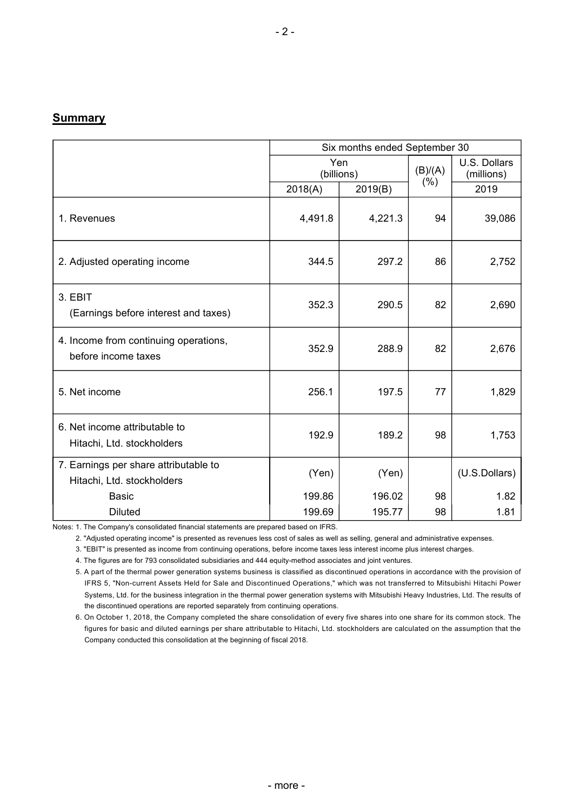#### **Summary**

|                                                                     | Six months ended September 30 |                   |         |                            |
|---------------------------------------------------------------------|-------------------------------|-------------------|---------|----------------------------|
|                                                                     |                               | Yen<br>(billions) | (B)/(A) | U.S. Dollars<br>(millions) |
|                                                                     | 2018(A)                       | 2019(B)           | (% )    | 2019                       |
| 1. Revenues                                                         | 4,491.8                       | 4,221.3           | 94      | 39,086                     |
| 2. Adjusted operating income                                        | 344.5                         | 297.2             | 86      | 2,752                      |
| 3. EBIT<br>(Earnings before interest and taxes)                     | 352.3                         | 290.5             | 82      | 2,690                      |
| 4. Income from continuing operations,<br>before income taxes        | 352.9                         | 288.9             | 82      | 2,676                      |
| 5. Net income                                                       | 256.1                         | 197.5             | 77      | 1,829                      |
| 6. Net income attributable to<br>Hitachi, Ltd. stockholders         | 192.9                         | 189.2             | 98      | 1,753                      |
| 7. Earnings per share attributable to<br>Hitachi, Ltd. stockholders | (Yen)                         | (Yen)             |         | (U.S.Dollars)              |
| <b>Basic</b>                                                        | 199.86                        | 196.02            | 98      | 1.82                       |
| <b>Diluted</b>                                                      | 199.69                        | 195.77            | 98      | 1.81                       |

Notes: 1. The Company's consolidated financial statements are prepared based on IFRS.

2. "Adjusted operating income" is presented as revenues less cost of sales as well as selling, general and administrative expenses.

3. "EBIT" is presented as income from continuing operations, before income taxes less interest income plus interest charges.

4. The figures are for 793 consolidated subsidiaries and 444 equity-method associates and joint ventures.

5. A part of the thermal power generation systems business is classified as discontinued operations in accordance with the provision of IFRS 5, "Non-current Assets Held for Sale and Discontinued Operations," which was not transferred to Mitsubishi Hitachi Power Systems, Ltd. for the business integration in the thermal power generation systems with Mitsubishi Heavy Industries, Ltd. The results of the discontinued operations are reported separately from continuing operations.

6. On October 1, 2018, the Company completed the share consolidation of every five shares into one share for its common stock. The figures for basic and diluted earnings per share attributable to Hitachi, Ltd. stockholders are calculated on the assumption that the Company conducted this consolidation at the beginning of fiscal 2018.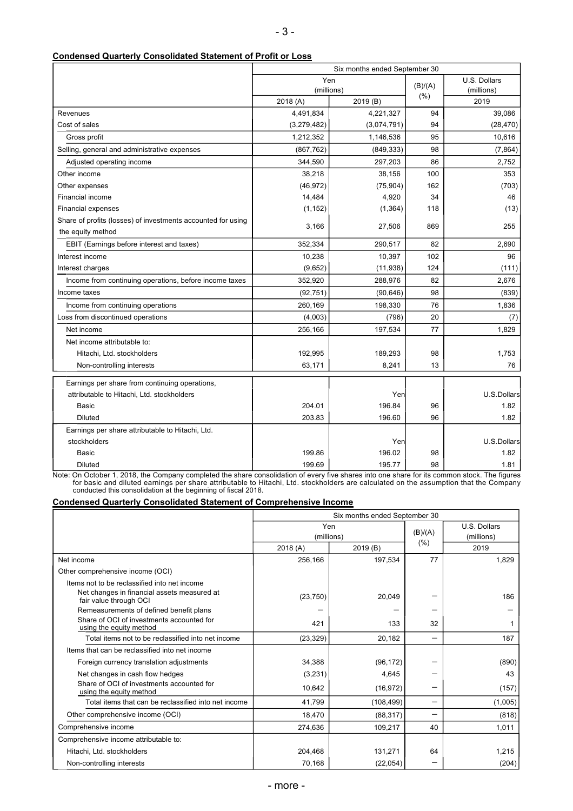| <b>Condensed Quarterly Consolidated Statement of Profit or Loss</b> |
|---------------------------------------------------------------------|
|---------------------------------------------------------------------|

|                                                              | Six months ended September 30 |             |         |              |  |
|--------------------------------------------------------------|-------------------------------|-------------|---------|--------------|--|
|                                                              | Yen                           |             | (B)/(A) | U.S. Dollars |  |
|                                                              | (millions)                    |             | (% )    | (millions)   |  |
|                                                              | 2018(A)                       | 2019(B)     |         | 2019         |  |
| Revenues                                                     | 4,491,834                     | 4,221,327   | 94      | 39,086       |  |
| Cost of sales                                                | (3,279,482)                   | (3,074,791) | 94      | (28, 470)    |  |
| Gross profit                                                 | 1,212,352                     | 1,146,536   | 95      | 10,616       |  |
| Selling, general and administrative expenses                 | (867, 762)                    | (849, 333)  | 98      | (7, 864)     |  |
| Adjusted operating income                                    | 344,590                       | 297,203     | 86      | 2,752        |  |
| Other income                                                 | 38,218                        | 38,156      | 100     | 353          |  |
| Other expenses                                               | (46, 972)                     | (75, 904)   | 162     | (703)        |  |
| Financial income                                             | 14,484                        | 4,920       | 34      | 46           |  |
| <b>Financial expenses</b>                                    | (1, 152)                      | (1, 364)    | 118     | (13)         |  |
| Share of profits (losses) of investments accounted for using | 3,166                         | 27,506      | 869     | 255          |  |
| the equity method                                            |                               |             |         |              |  |
| EBIT (Earnings before interest and taxes)                    | 352,334                       | 290,517     | 82      | 2,690        |  |
| Interest income                                              | 10,238                        | 10,397      | 102     | 96           |  |
| Interest charges                                             | (9,652)                       | (11, 938)   | 124     | (111)        |  |
| Income from continuing operations, before income taxes       | 352,920                       | 288,976     | 82      | 2.676        |  |
| Income taxes                                                 | (92, 751)                     | (90, 646)   | 98      | (839)        |  |
| Income from continuing operations                            | 260,169                       | 198,330     | 76      | 1,836        |  |
| Loss from discontinued operations                            | (4,003)                       | (796)       | 20      | (7)          |  |
| Net income                                                   | 256,166                       | 197,534     | 77      | 1,829        |  |
| Net income attributable to:                                  |                               |             |         |              |  |
| Hitachi, Ltd. stockholders                                   | 192,995                       | 189,293     | 98      | 1,753        |  |
| Non-controlling interests                                    | 63,171                        | 8,241       | 13      | 76           |  |
| Earnings per share from continuing operations,               |                               |             |         |              |  |
| attributable to Hitachi, Ltd. stockholders                   |                               | Yen         |         | U.S.Dollars  |  |
| <b>Basic</b>                                                 | 204.01                        | 196.84      | 96      | 1.82         |  |
| <b>Diluted</b>                                               | 203.83                        | 196.60      | 96      | 1.82         |  |
| Earnings per share attributable to Hitachi, Ltd.             |                               |             |         |              |  |
| stockholders                                                 |                               | Yen         |         | U.S.Dollars  |  |
| Basic                                                        | 199.86                        | 196.02      | 98      | 1.82         |  |
| <b>Diluted</b>                                               | 199.69                        | 195.77      | 98      | 1.81         |  |
|                                                              |                               |             |         |              |  |

Note: On October 1, 2018, the Company completed the share consolidation of every five shares into one share for its common stock. The figures for basic and diluted earnings per share attributable to Hitachi, Ltd. stockholders are calculated on the assumption that the Company conducted this consolidation at the beginning of fiscal 2018.

#### **Condensed Quarterly Consolidated Statement of Comprehensive Income**

|                                                                       | Six months ended September 30 |            |         |              |  |
|-----------------------------------------------------------------------|-------------------------------|------------|---------|--------------|--|
|                                                                       | Yen                           |            |         | U.S. Dollars |  |
|                                                                       | (millions)                    |            | (B)/(A) | (millions)   |  |
|                                                                       | 2018 (A)                      | 2019 (B)   | (% )    | 2019         |  |
| Net income                                                            | 256,166                       | 197,534    | 77      | 1,829        |  |
| Other comprehensive income (OCI)                                      |                               |            |         |              |  |
| Items not to be reclassified into net income                          |                               |            |         |              |  |
| Net changes in financial assets measured at<br>fair value through OCI | (23, 750)                     | 20,049     |         | 186          |  |
| Remeasurements of defined benefit plans                               |                               |            |         |              |  |
| Share of OCI of investments accounted for<br>using the equity method  | 421                           | 133        | 32      |              |  |
| Total items not to be reclassified into net income                    | (23, 329)                     | 20,182     |         | 187          |  |
| Items that can be reclassified into net income                        |                               |            |         |              |  |
| Foreign currency translation adjustments                              | 34.388                        | (96, 172)  |         | (890)        |  |
| Net changes in cash flow hedges                                       | (3,231)                       | 4,645      |         | 43           |  |
| Share of OCI of investments accounted for<br>using the equity method  | 10,642                        | (16, 972)  |         | (157)        |  |
| Total items that can be reclassified into net income                  | 41,799                        | (108, 499) |         | (1,005)      |  |
| Other comprehensive income (OCI)                                      | 18,470                        | (88, 317)  |         | (818)        |  |
| Comprehensive income                                                  | 274.636                       | 109,217    | 40      | 1,011        |  |
| Comprehensive income attributable to:                                 |                               |            |         |              |  |
| Hitachi, Ltd. stockholders                                            | 204,468                       | 131,271    | 64      | 1,215        |  |
| Non-controlling interests                                             | 70,168                        | (22, 054)  |         | (204)        |  |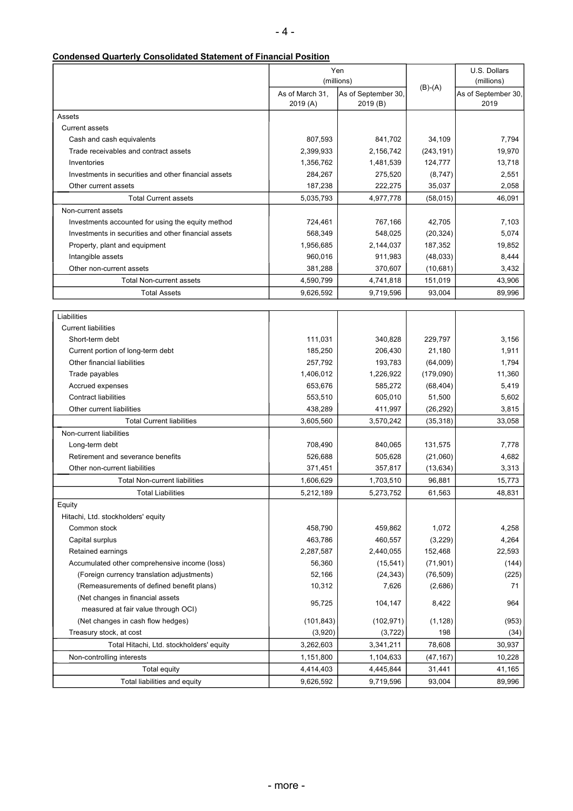|  |  | <b>Condensed Quarterly Consolidated Statement of Financial Position</b> |
|--|--|-------------------------------------------------------------------------|
|  |  |                                                                         |

|                                                      |                            | Yen                            |            | U.S. Dollars                |
|------------------------------------------------------|----------------------------|--------------------------------|------------|-----------------------------|
|                                                      |                            | (millions)                     | $(B)-(A)$  | (millions)                  |
|                                                      | As of March 31.<br>2019(A) | As of September 30<br>2019 (B) |            | As of September 30,<br>2019 |
| Assets                                               |                            |                                |            |                             |
| <b>Current assets</b>                                |                            |                                |            |                             |
| Cash and cash equivalents                            | 807,593                    | 841,702                        | 34,109     | 7,794                       |
| Trade receivables and contract assets                | 2,399,933                  | 2,156,742                      | (243, 191) | 19,970                      |
| Inventories                                          | 1,356,762                  | 1,481,539                      | 124,777    | 13,718                      |
| Investments in securities and other financial assets | 284,267                    | 275,520                        | (8,747)    | 2,551                       |
| Other current assets                                 | 187,238                    | 222,275                        | 35,037     | 2,058                       |
| <b>Total Current assets</b>                          | 5,035,793                  | 4,977,778                      | (58, 015)  | 46,091                      |
| Non-current assets                                   |                            |                                |            |                             |
| Investments accounted for using the equity method    | 724,461                    | 767,166                        | 42,705     | 7,103                       |
| Investments in securities and other financial assets | 568,349                    | 548,025                        | (20, 324)  | 5,074                       |
| Property, plant and equipment                        | 1,956,685                  | 2,144,037                      | 187,352    | 19,852                      |
| Intangible assets                                    | 960,016                    | 911,983                        | (48,033)   | 8,444                       |
| Other non-current assets                             | 381,288                    | 370,607                        | (10,681)   | 3,432                       |
| <b>Total Non-current assets</b>                      | 4,590,799                  | 4,741,818                      | 151,019    | 43,906                      |
| <b>Total Assets</b>                                  | 9,626,592                  | 9,719,596                      | 93,004     | 89,996                      |
|                                                      |                            |                                |            |                             |
| Liabilities                                          |                            |                                |            |                             |
| <b>Current liabilities</b>                           |                            |                                |            |                             |
| Short-term debt                                      | 111,031                    | 340,828                        | 229.797    | 3,156                       |
| Current portion of long-term debt                    | 185,250                    | 206,430                        | 21,180     | 1,911                       |
| Other financial liabilities                          | 257,792                    | 193,783                        | (64,009)   | 1,794                       |
| Trade payables                                       | 1,406,012                  | 1,226,922                      | (179,090)  | 11,360                      |
| Accrued expenses                                     | 653,676                    | 585,272                        | (68, 404)  | 5,419                       |
| <b>Contract liabilities</b>                          | 553,510                    | 605,010                        | 51,500     | 5,602                       |
| Other current liabilities                            | 438,289                    | 411,997                        | (26, 292)  | 3,815                       |
| <b>Total Current liabilities</b>                     | 3,605,560                  | 3,570,242                      | (35, 318)  | 33,058                      |
| Non-current liabilities                              |                            |                                |            |                             |
| Long-term debt                                       | 708,490                    | 840,065                        | 131,575    | 7,778                       |
| Retirement and severance benefits                    | 526,688                    | 505,628                        | (21,060)   | 4,682                       |
| Other non-current liabilities                        | 371,451                    | 357,817                        | (13, 634)  | 3,313                       |
| <b>Total Non-current liabilities</b>                 | 1,606,629                  | 1,703,510                      | 96,881     | 15.773                      |
| <b>Total Liabilities</b>                             | 5,212,189                  | 5,273,752                      | 61,563     | 48,831                      |
| Equity                                               |                            |                                |            |                             |
| Hitachi, Ltd. stockholders' equity                   |                            |                                |            |                             |
| Common stock                                         | 458,790                    | 459,862                        | 1,072      | 4,258                       |
| Capital surplus                                      | 463,786                    | 460,557                        | (3,229)    | 4,264                       |
| Retained earnings                                    | 2,287,587                  | 2,440,055                      | 152,468    | 22,593                      |
| Accumulated other comprehensive income (loss)        | 56,360                     | (15, 541)                      | (71, 901)  | (144)                       |
| (Foreign currency translation adjustments)           | 52,166                     | (24, 343)                      | (76, 509)  | (225)                       |
| (Remeasurements of defined benefit plans)            | 10,312                     | 7,626                          | (2,686)    | 71                          |
| (Net changes in financial assets                     |                            |                                |            |                             |
| measured at fair value through OCI)                  | 95,725                     | 104,147                        | 8,422      | 964                         |
| (Net changes in cash flow hedges)                    | (101, 843)                 | (102, 971)                     | (1, 128)   | (953)                       |
| Treasury stock, at cost                              | (3,920)                    | (3, 722)                       | 198        | (34)                        |
| Total Hitachi, Ltd. stockholders' equity             | 3,262,603                  | 3,341,211                      | 78,608     | 30,937                      |
| Non-controlling interests                            | 1,151,800                  | 1,104,633                      | (47, 167)  | 10,228                      |
| Total equity                                         | 4,414,403                  | 4,445,844                      | 31,441     | 41,165                      |
| Total liabilities and equity                         | 9,626,592                  | 9,719,596                      | 93,004     | 89,996                      |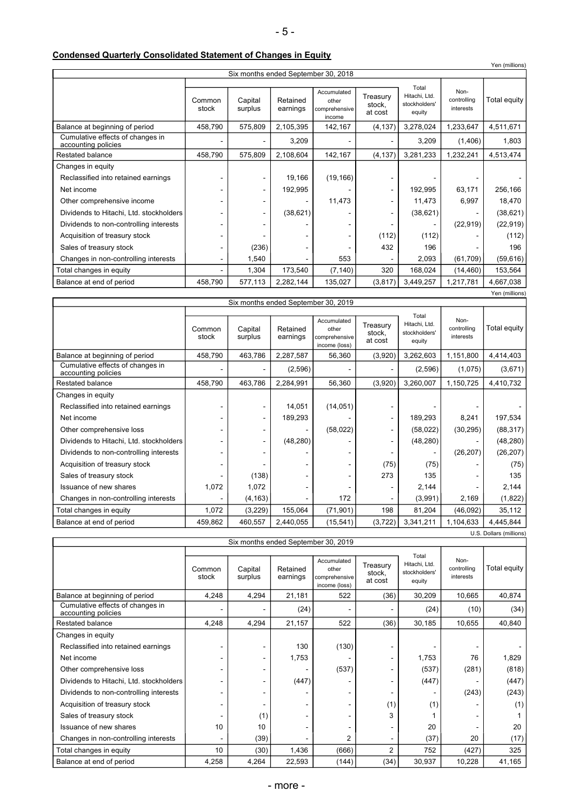|  | <b>Condensed Quarterly Consolidated Statement of Changes in Equity</b> |
|--|------------------------------------------------------------------------|
|--|------------------------------------------------------------------------|

|                                                         |                 |                          |                      |                                                 |                               |                                                   | Yen (millions)                   |                |
|---------------------------------------------------------|-----------------|--------------------------|----------------------|-------------------------------------------------|-------------------------------|---------------------------------------------------|----------------------------------|----------------|
| Six months ended September 30, 2018                     |                 |                          |                      |                                                 |                               |                                                   |                                  |                |
|                                                         | Common<br>stock | Capital<br>surplus       | Retained<br>earnings | Accumulated<br>other<br>comprehensive<br>income | Treasury<br>stock.<br>at cost | Total<br>Hitachi, Ltd.<br>stockholders'<br>equity | Non-<br>controlling<br>interests | Total equity   |
| Balance at beginning of period                          | 458,790         | 575,809                  | 2,105,395            | 142,167                                         | (4, 137)                      | 3,278,024                                         | 1,233,647                        | 4,511,671      |
| Cumulative effects of changes in<br>accounting policies |                 |                          | 3,209                |                                                 |                               | 3,209                                             | (1,406)                          | 1,803          |
| Restated balance                                        | 458,790         | 575,809                  | 2,108,604            | 142,167                                         | (4, 137)                      | 3,281,233                                         | 1,232,241                        | 4,513,474      |
| Changes in equity                                       |                 |                          |                      |                                                 |                               |                                                   |                                  |                |
| Reclassified into retained earnings                     |                 | $\overline{\phantom{a}}$ | 19,166               | (19, 166)                                       |                               |                                                   |                                  |                |
| Net income                                              |                 | ٠                        | 192,995              |                                                 |                               | 192,995                                           | 63,171                           | 256,166        |
| Other comprehensive income                              |                 | ۰                        |                      | 11,473                                          |                               | 11,473                                            | 6,997                            | 18,470         |
| Dividends to Hitachi, Ltd. stockholders                 |                 | ٠                        | (38, 621)            |                                                 | ۰                             | (38, 621)                                         |                                  | (38, 621)      |
| Dividends to non-controlling interests                  |                 |                          |                      |                                                 |                               | ۰                                                 | (22, 919)                        | (22, 919)      |
| Acquisition of treasury stock                           |                 |                          |                      |                                                 | (112)                         | (112)                                             |                                  | (112)          |
| Sales of treasury stock                                 |                 | (236)                    |                      |                                                 | 432                           | 196                                               |                                  | 196            |
| Changes in non-controlling interests                    |                 | 1,540                    |                      | 553                                             |                               | 2,093                                             | (61, 709)                        | (59, 616)      |
| Total changes in equity                                 |                 | 1,304                    | 173,540              | (7, 140)                                        | 320                           | 168,024                                           | (14, 460)                        | 153,564        |
| Balance at end of period                                | 458,790         | 577,113                  | 2,282,144            | 135,027                                         | (3, 817)                      | 3,449,257                                         | 1,217,781                        | 4,667,038      |
|                                                         |                 |                          |                      |                                                 |                               |                                                   |                                  | Yen (millions) |

| Six months ended September 30, 2019                     |                 |                          |                      |                                                        |                               |                                                   |                                  |              |
|---------------------------------------------------------|-----------------|--------------------------|----------------------|--------------------------------------------------------|-------------------------------|---------------------------------------------------|----------------------------------|--------------|
|                                                         | Common<br>stock | Capital<br>surplus       | Retained<br>earnings | Accumulated<br>other<br>comprehensive<br>income (loss) | Treasury<br>stock,<br>at cost | Total<br>Hitachi, Ltd.<br>stockholders'<br>equity | Non-<br>controlling<br>interests | Total equity |
| Balance at beginning of period                          | 458,790         | 463,786                  | 2,287,587            | 56,360                                                 | (3,920)                       | 3,262,603                                         | 1,151,800                        | 4,414,403    |
| Cumulative effects of changes in<br>accounting policies |                 |                          | (2,596)              |                                                        |                               | (2,596)                                           | (1,075)                          | (3,671)      |
| Restated balance                                        | 458,790         | 463,786                  | 2,284,991            | 56,360                                                 | (3,920)                       | 3,260,007                                         | 1,150,725                        | 4,410,732    |
| Changes in equity                                       |                 |                          |                      |                                                        |                               |                                                   |                                  |              |
| Reclassified into retained earnings                     |                 |                          | 14,051               | (14, 051)                                              |                               |                                                   |                                  |              |
| Net income                                              |                 | $\overline{\phantom{a}}$ | 189,293              |                                                        | ٠                             | 189,293                                           | 8,241                            | 197,534      |
| Other comprehensive loss                                |                 |                          |                      | (58,022)                                               |                               | (58,022)                                          | (30, 295)                        | (88, 317)    |
| Dividends to Hitachi, Ltd. stockholders                 |                 | ٠                        | (48, 280)            |                                                        |                               | (48, 280)                                         |                                  | (48, 280)    |
| Dividends to non-controlling interests                  |                 |                          |                      |                                                        |                               | ۰                                                 | (26, 207)                        | (26, 207)    |
| Acquisition of treasury stock                           |                 |                          |                      |                                                        | (75)                          | (75)                                              |                                  | (75)         |
| Sales of treasury stock                                 |                 | (138)                    |                      |                                                        | 273                           | 135                                               |                                  | 135          |
| Issuance of new shares                                  | 1,072           | 1,072                    |                      |                                                        |                               | 2,144                                             |                                  | 2,144        |
| Changes in non-controlling interests                    |                 | (4, 163)                 |                      | 172                                                    |                               | (3,991)                                           | 2,169                            | (1,822)      |
| Total changes in equity                                 | 1,072           | (3,229)                  | 155,064              | (71, 901)                                              | 198                           | 81,204                                            | (46,092)                         | 35,112       |
| Balance at end of period                                | 459,862         | 460,557                  | 2,440,055            | (15, 541)                                              | (3,722)                       | 3,341,211                                         | 1,104,633                        | 4,445,844    |
| U.S. Dollars (millions)                                 |                 |                          |                      |                                                        |                               |                                                   |                                  |              |

|                                                         |                 |                    |                      | Six months ended September 30, 2019                    |                               |                                                   |                                  |              |
|---------------------------------------------------------|-----------------|--------------------|----------------------|--------------------------------------------------------|-------------------------------|---------------------------------------------------|----------------------------------|--------------|
|                                                         | Common<br>stock | Capital<br>surplus | Retained<br>earnings | Accumulated<br>other<br>comprehensive<br>income (loss) | Treasury<br>stock,<br>at cost | Total<br>Hitachi, Ltd.<br>stockholders'<br>equity | Non-<br>controlling<br>interests | Total equity |
| Balance at beginning of period                          | 4,248           | 4,294              | 21,181               | 522                                                    | (36)                          | 30,209                                            | 10,665                           | 40,874       |
| Cumulative effects of changes in<br>accounting policies |                 |                    | (24)                 |                                                        |                               | (24)                                              | (10)                             | (34)         |
| <b>Restated balance</b>                                 | 4,248           | 4,294              | 21,157               | 522                                                    | (36)                          | 30,185                                            | 10,655                           | 40,840       |
| Changes in equity                                       |                 |                    |                      |                                                        |                               |                                                   |                                  |              |
| Reclassified into retained earnings                     |                 |                    | 130                  | (130)                                                  |                               |                                                   |                                  |              |
| Net income                                              |                 | ۰                  | 1,753                |                                                        |                               | 1,753                                             | 76                               | 1,829        |
| Other comprehensive loss                                |                 |                    |                      | (537)                                                  |                               | (537)                                             | (281)                            | (818)        |
| Dividends to Hitachi, Ltd. stockholders                 |                 |                    | (447)                |                                                        |                               | (447)                                             |                                  | (447)        |
| Dividends to non-controlling interests                  |                 | -                  | -                    |                                                        |                               |                                                   | (243)                            | (243)        |
| Acquisition of treasury stock                           |                 |                    | ٠                    |                                                        | (1)                           | (1)                                               |                                  | (1)          |
| Sales of treasury stock                                 |                 | (1)                |                      |                                                        | 3                             |                                                   |                                  |              |
| Issuance of new shares                                  | 10              | 10                 |                      |                                                        |                               | 20                                                |                                  | 20           |
| Changes in non-controlling interests                    |                 | (39)               | ۰                    | 2                                                      |                               | (37)                                              | 20                               | (17)         |
| Total changes in equity                                 | 10              | (30)               | 1,436                | (666)                                                  | $\overline{2}$                | 752                                               | (427)                            | 325          |
| Balance at end of period                                | 4,258           | 4,264              | 22,593               | (144)                                                  | (34)                          | 30,937                                            | 10,228                           | 41,165       |

- more -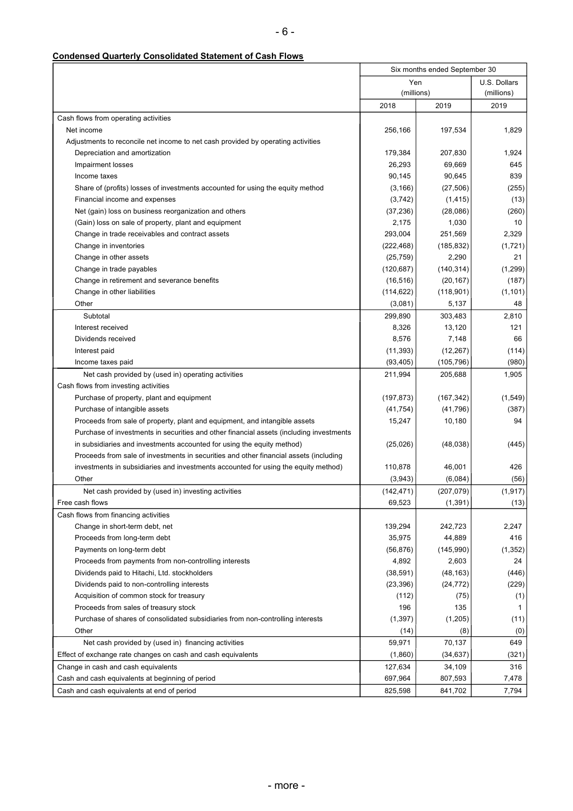## **Condensed Quarterly Consolidated Statement of Cash Flows**

|                                                                                         | Six months ended September 30 |                    |                            |
|-----------------------------------------------------------------------------------------|-------------------------------|--------------------|----------------------------|
|                                                                                         | Yen<br>(millions)             |                    | U.S. Dollars<br>(millions) |
|                                                                                         | 2018                          | 2019               | 2019                       |
| Cash flows from operating activities                                                    |                               |                    |                            |
| Net income                                                                              | 256,166                       | 197,534            | 1,829                      |
| Adjustments to reconcile net income to net cash provided by operating activities        |                               |                    |                            |
| Depreciation and amortization                                                           | 179,384                       | 207,830            | 1,924                      |
| Impairment losses                                                                       | 26,293                        | 69,669             | 645                        |
| Income taxes                                                                            | 90,145                        | 90,645             | 839                        |
| Share of (profits) losses of investments accounted for using the equity method          | (3, 166)                      | (27, 506)          | (255)                      |
| Financial income and expenses                                                           | (3,742)                       | (1, 415)           | (13)                       |
| Net (gain) loss on business reorganization and others                                   | (37, 236)                     | (28,086)           | (260)                      |
| (Gain) loss on sale of property, plant and equipment                                    | 2,175                         | 1,030              | 10                         |
| Change in trade receivables and contract assets                                         | 293,004                       | 251,569            | 2,329                      |
| Change in inventories                                                                   | (222, 468)                    | (185, 832)         | (1,721)                    |
| Change in other assets                                                                  | (25, 759)                     | 2,290              | 21                         |
| Change in trade payables                                                                | (120, 687)                    | (140, 314)         | (1,299)                    |
| Change in retirement and severance benefits                                             | (16, 516)                     | (20, 167)          | (187)                      |
| Change in other liabilities                                                             | (114, 622)                    | (118,901)          | (1, 101)                   |
| Other                                                                                   | (3,081)                       | 5,137              | 48                         |
| Subtotal                                                                                | 299,890                       | 303,483            | 2,810                      |
| Interest received                                                                       | 8,326                         | 13,120             | 121                        |
| Dividends received                                                                      | 8,576                         | 7,148              | 66                         |
| Interest paid                                                                           | (11, 393)                     | (12, 267)          | (114)                      |
| Income taxes paid                                                                       | (93, 405)                     | (105, 796)         | (980)                      |
| Net cash provided by (used in) operating activities                                     | 211,994                       | 205,688            | 1,905                      |
| Cash flows from investing activities                                                    |                               |                    |                            |
| Purchase of property, plant and equipment                                               | (197, 873)                    | (167, 342)         | (1,549)                    |
| Purchase of intangible assets                                                           | (41, 754)                     | (41,796)           | (387)                      |
| Proceeds from sale of property, plant and equipment, and intangible assets              | 15,247                        | 10,180             | 94                         |
| Purchase of investments in securities and other financial assets (including investments |                               |                    |                            |
| in subsidiaries and investments accounted for using the equity method)                  | (25,026)                      | (48, 038)          | (445)                      |
| Proceeds from sale of investments in securities and other financial assets (including   |                               |                    |                            |
| investments in subsidiaries and investments accounted for using the equity method)      | 110,878                       | 46,001             | 426                        |
| Other                                                                                   | (3,943)                       | (6,084)            | (56)                       |
| Net cash provided by (used in) investing activities                                     | (142, 471)                    | (207, 079)         | (1, 917)                   |
| Free cash flows                                                                         | 69,523                        | (1, 391)           | (13)                       |
| Cash flows from financing activities                                                    |                               |                    |                            |
|                                                                                         |                               |                    |                            |
| Change in short-term debt, net<br>Proceeds from long-term debt                          | 139,294                       | 242,723            | 2,247                      |
| Payments on long-term debt                                                              | 35,975                        | 44,889             | 416                        |
|                                                                                         | (56, 876)                     | (145,990)<br>2,603 | (1, 352)<br>24             |
| Proceeds from payments from non-controlling interests                                   | 4,892                         |                    |                            |
| Dividends paid to Hitachi, Ltd. stockholders                                            | (38, 591)                     | (48, 163)          | (446)                      |
| Dividends paid to non-controlling interests                                             | (23, 396)                     | (24, 772)          | (229)                      |
| Acquisition of common stock for treasury                                                | (112)<br>196                  | (75)<br>135        | (1)<br>1                   |
| Proceeds from sales of treasury stock                                                   | (1, 397)                      |                    |                            |
| Purchase of shares of consolidated subsidiaries from non-controlling interests          |                               | (1,205)            | (11)                       |
| Other                                                                                   | (14)                          | (8)                | (0)                        |
| Net cash provided by (used in) financing activities                                     | 59,971                        | 70,137             | 649                        |
| Effect of exchange rate changes on cash and cash equivalents                            | (1,860)                       | (34, 637)          | (321)                      |
| Change in cash and cash equivalents                                                     | 127,634                       | 34,109             | 316                        |
| Cash and cash equivalents at beginning of period                                        | 697,964                       | 807,593            | 7,478                      |
| Cash and cash equivalents at end of period                                              | 825,598                       | 841,702            | 7,794                      |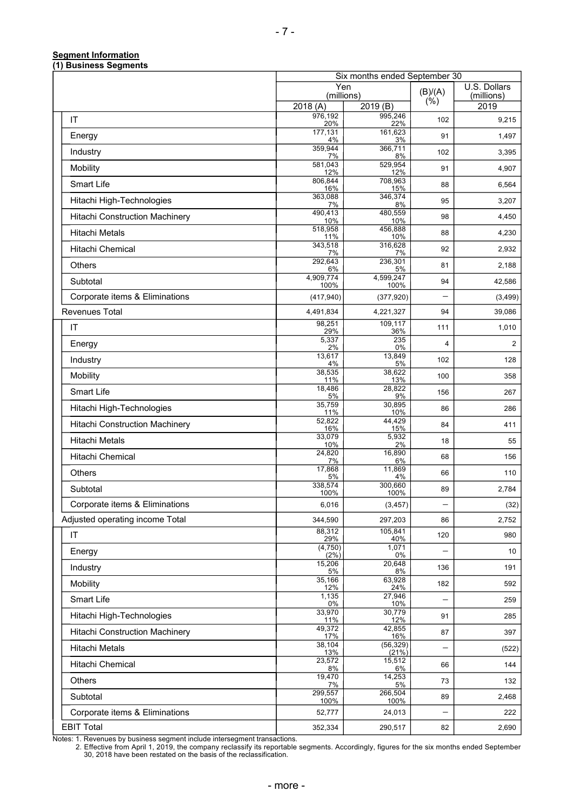## **Segment Information**

| (1) Business Segments           |                             |                               |                          |                |
|---------------------------------|-----------------------------|-------------------------------|--------------------------|----------------|
|                                 | Yen                         | Six months ended September 30 |                          | U.S. Dollars   |
|                                 | (millions)                  |                               | (B)/(A)<br>(% )          | (millions)     |
|                                 | 2018 (A)<br>976,192         | 2019 (B)<br>995,246           |                          | 2019           |
| IT                              | 20%                         | 22%                           | 102                      | 9,215          |
| Energy                          | 177,131<br>4%               | 161,623<br>3%                 | 91                       | 1,497          |
| Industry                        | 359,944<br>7%               | 366,711<br>8%                 | 102                      | 3,395          |
| Mobility                        | 581.043<br>12%              | 529,954<br>12%                | 91                       | 4,907          |
| Smart Life                      | 806,844<br>16%              | 708,963<br>15%                | 88                       | 6,564          |
| Hitachi High-Technologies       | 363,088<br>7%               | 346,374<br>8%                 | 95                       | 3,207          |
| Hitachi Construction Machinery  | 490,413<br>10%              | 480,559<br>10%                | 98                       | 4,450          |
| <b>Hitachi Metals</b>           | 518,958<br>11%              | 456,888<br>10%                | 88                       | 4,230          |
| Hitachi Chemical                | 343,518<br>7%               | 316,628<br>7%                 | 92                       | 2,932          |
| Others                          | 292,643<br>6%               | 236,301<br>5%                 | 81                       | 2,188          |
| Subtotal                        | 4,909,774<br>100%           | 4,599,247<br>100%             | 94                       | 42,586         |
| Corporate items & Eliminations  | (417, 940)                  | (377, 920)                    | $\overline{\phantom{0}}$ | (3,499)        |
| <b>Revenues Total</b>           | 4,491,834                   | 4,221,327                     | 94                       | 39,086         |
| IT                              | 98,251<br>29%               | 109,117<br>36%                | 111                      | 1,010          |
| Energy                          | 5,337<br>2%                 | 235<br>0%                     | $\overline{4}$           | $\overline{c}$ |
| Industry                        | 13,617                      | 13,849                        | 102                      | 128            |
| Mobility                        | 4%<br>38,535<br>11%         | 5%<br>38,622<br>13%           | 100                      | 358            |
| Smart Life                      | 18,486<br>5%                | 28,822<br>9%                  | 156                      | 267            |
| Hitachi High-Technologies       | 35,759                      | 30,895                        | 86                       | 286            |
| Hitachi Construction Machinery  | 11%<br>52,822<br>16%        | 10%<br>44,429<br>15%          | 84                       | 411            |
| <b>Hitachi Metals</b>           | 33,079<br>10%               | 5,932<br>2%                   | 18                       | 55             |
| Hitachi Chemical                | 24,820<br>7%                | 16,890<br>6%                  | 68                       | 156            |
| <b>Others</b>                   | 17,868                      | 11,869<br>4%                  | 66                       | 110            |
| Subtotal                        | 5%<br>338,574<br>100%       | 300,660<br>100%               | 89                       | 2,784          |
| Corporate items & Eliminations  | 6,016                       | (3, 457)                      | -                        | (32)           |
| Adjusted operating income Total | 344,590                     | 297,203                       | 86                       | 2,752          |
| $\mathsf{I}\mathsf{T}$          | 88,312<br>29%               | 105,841<br>40%                | 120                      | 980            |
| Energy                          | (4, 750)<br>$(2\%)$         | 1,071<br>0%                   |                          | 10             |
| Industry                        | 15,206<br>5%                | 20,648<br>8%                  | 136                      | 191            |
| Mobility                        | 35,166                      | 63,928<br>24%                 | 182                      | 592            |
| Smart Life                      | 12%<br>1,135<br>0%          | 27,946<br>10%                 |                          | 259            |
| Hitachi High-Technologies       | 33,970<br>11%               | 30,779<br>12%                 | 91                       | 285            |
| Hitachi Construction Machinery  | 49,372                      | 42,855                        | 87                       | 397            |
| <b>Hitachi Metals</b>           | 17%<br>38,104<br><u>13%</u> | 16%<br>(56, 329)<br>(21%)     | -                        | (522)          |
| Hitachi Chemical                | 23,572<br>8%                | 15,512<br>6%                  | 66                       | 144            |
| Others                          | 19,470<br>7%                | 14,253<br>5%                  | 73                       | 132            |
| Subtotal                        | 299,557<br>100%             | 266,504<br>100%               | 89                       | 2,468          |
| Corporate items & Eliminations  | 52,777                      | 24,013                        | -                        | 222            |
| <b>EBIT Total</b>               | 352,334                     | 290,517                       | 82                       | 2,690          |

Notes: 1. Revenues by business segment include intersegment transactions.

2. Effective from April 1, 2019, the company reclassify its reportable segments. Accordingly, figures for the six months ended September 30, 2018 have been restated on the basis of the reclassification.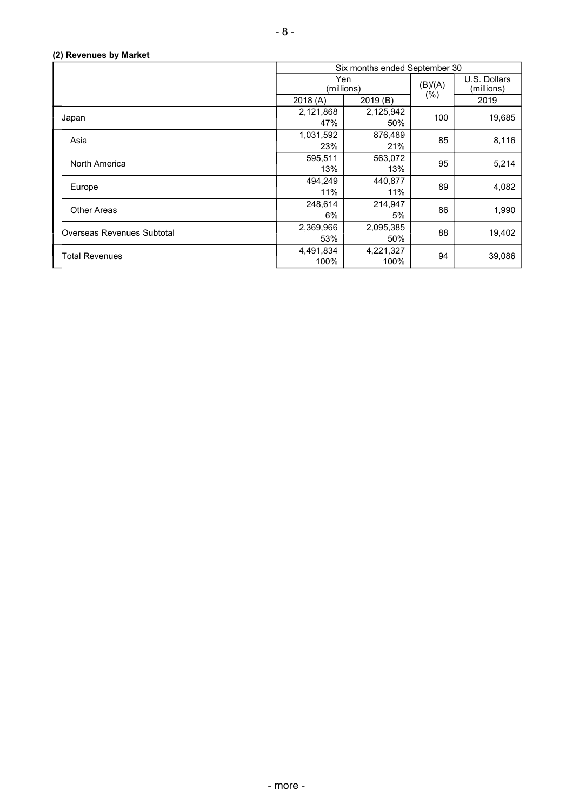|                            | Six months ended September 30 |           |         |                            |
|----------------------------|-------------------------------|-----------|---------|----------------------------|
|                            | Yen<br>(millions)             |           | (B)/(A) | U.S. Dollars<br>(millions) |
|                            | 2018(A)                       | 2019(B)   | $(\%)$  | 2019                       |
| Japan                      | 2,121,868                     | 2,125,942 | 100     | 19,685                     |
|                            | 47%                           | 50%       |         |                            |
| Asia                       | 1,031,592                     | 876,489   | 85      | 8,116                      |
|                            | 23%                           | 21%       |         |                            |
| North America              | 595,511                       | 563,072   | 95      | 5,214                      |
|                            | 13%                           | 13%       |         |                            |
| Europe                     | 494,249                       | 440,877   | 89      | 4,082                      |
|                            | 11%                           | 11%       |         |                            |
| <b>Other Areas</b>         | 248,614                       | 214,947   | 86      | 1,990                      |
|                            | 6%                            | 5%        |         |                            |
| Overseas Revenues Subtotal | 2,369,966                     | 2,095,385 | 88      | 19,402                     |
|                            | 53%                           | 50%       |         |                            |
| <b>Total Revenues</b>      | 4,491,834                     | 4,221,327 | 94      | 39,086                     |
|                            | 100%                          | 100%      |         |                            |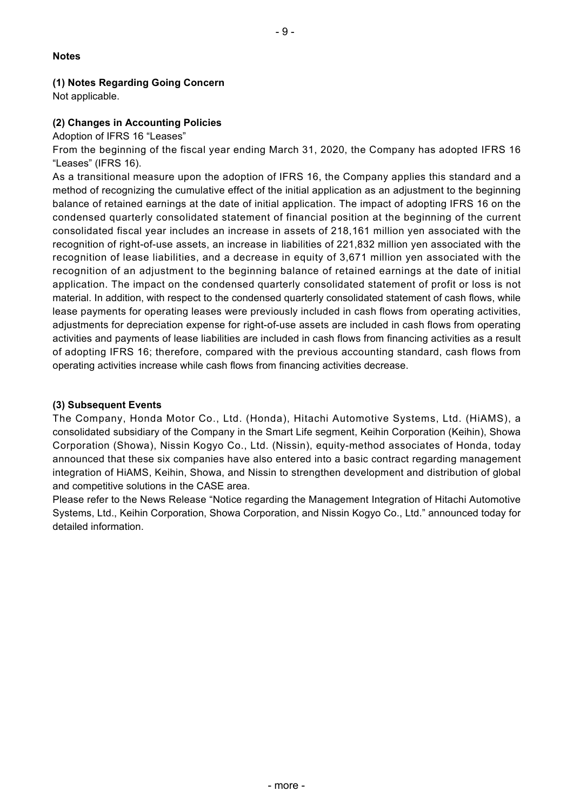#### **Notes**

## **(1) Notes Regarding Going Concern**

Not applicable.

#### **(2) Changes in Accounting Policies**

Adoption of IFRS 16 "Leases"

From the beginning of the fiscal year ending March 31, 2020, the Company has adopted IFRS 16 "Leases" (IFRS 16).

As a transitional measure upon the adoption of IFRS 16, the Company applies this standard and a method of recognizing the cumulative effect of the initial application as an adjustment to the beginning balance of retained earnings at the date of initial application. The impact of adopting IFRS 16 on the condensed quarterly consolidated statement of financial position at the beginning of the current consolidated fiscal year includes an increase in assets of 218,161 million yen associated with the recognition of right-of-use assets, an increase in liabilities of 221,832 million yen associated with the recognition of lease liabilities, and a decrease in equity of 3,671 million yen associated with the recognition of an adjustment to the beginning balance of retained earnings at the date of initial application. The impact on the condensed quarterly consolidated statement of profit or loss is not material. In addition, with respect to the condensed quarterly consolidated statement of cash flows, while lease payments for operating leases were previously included in cash flows from operating activities, adjustments for depreciation expense for right-of-use assets are included in cash flows from operating activities and payments of lease liabilities are included in cash flows from financing activities as a result of adopting IFRS 16; therefore, compared with the previous accounting standard, cash flows from operating activities increase while cash flows from financing activities decrease.

#### **(3) Subsequent Events**

The Company, Honda Motor Co., Ltd. (Honda), Hitachi Automotive Systems, Ltd. (HiAMS), a consolidated subsidiary of the Company in the Smart Life segment, Keihin Corporation (Keihin), Showa Corporation (Showa), Nissin Kogyo Co., Ltd. (Nissin), equity-method associates of Honda, today announced that these six companies have also entered into a basic contract regarding management integration of HiAMS, Keihin, Showa, and Nissin to strengthen development and distribution of global and competitive solutions in the CASE area.

Please refer to the News Release "Notice regarding the Management Integration of Hitachi Automotive Systems, Ltd., Keihin Corporation, Showa Corporation, and Nissin Kogyo Co., Ltd." announced today for detailed information.